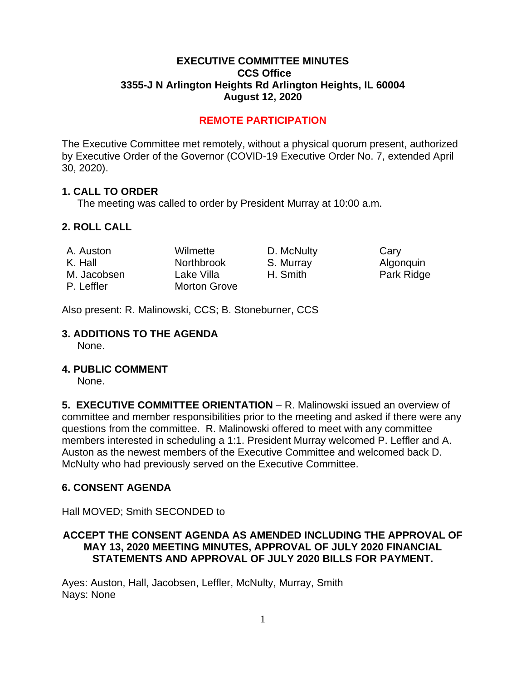#### **EXECUTIVE COMMITTEE MINUTES CCS Office 3355-J N Arlington Heights Rd Arlington Heights, IL 60004 August 12, 2020**

## **REMOTE PARTICIPATION**

The Executive Committee met remotely, without a physical quorum present, authorized by Executive Order of the Governor (COVID-19 Executive Order No. 7, extended April 30, 2020).

#### **1. CALL TO ORDER**

The meeting was called to order by President Murray at 10:00 a.m.

## **2. ROLL CALL**

| A. Auston   | Wilmette            | D. McNulty | Cary       |
|-------------|---------------------|------------|------------|
| K. Hall     | <b>Northbrook</b>   | S. Murray  | Algonquin  |
| M. Jacobsen | Lake Villa          | H. Smith   | Park Ridge |
| P. Leffler  | <b>Morton Grove</b> |            |            |

Also present: R. Malinowski, CCS; B. Stoneburner, CCS

#### **3. ADDITIONS TO THE AGENDA**

None.

#### **4. PUBLIC COMMENT**

None.

**5. EXECUTIVE COMMITTEE ORIENTATION** – R. Malinowski issued an overview of committee and member responsibilities prior to the meeting and asked if there were any questions from the committee. R. Malinowski offered to meet with any committee members interested in scheduling a 1:1. President Murray welcomed P. Leffler and A. Auston as the newest members of the Executive Committee and welcomed back D. McNulty who had previously served on the Executive Committee.

#### **6. CONSENT AGENDA**

Hall MOVED; Smith SECONDED to

## **ACCEPT THE CONSENT AGENDA AS AMENDED INCLUDING THE APPROVAL OF MAY 13, 2020 MEETING MINUTES, APPROVAL OF JULY 2020 FINANCIAL STATEMENTS AND APPROVAL OF JULY 2020 BILLS FOR PAYMENT.**

Ayes: Auston, Hall, Jacobsen, Leffler, McNulty, Murray, Smith Nays: None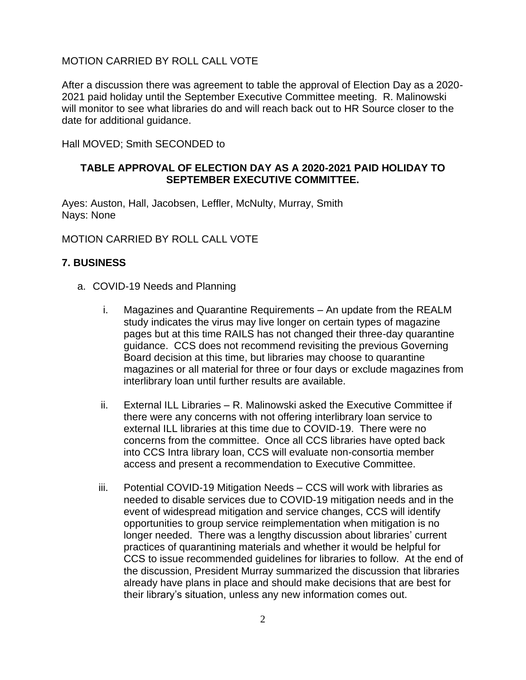### MOTION CARRIED BY ROLL CALL VOTE

After a discussion there was agreement to table the approval of Election Day as a 2020- 2021 paid holiday until the September Executive Committee meeting. R. Malinowski will monitor to see what libraries do and will reach back out to HR Source closer to the date for additional guidance.

Hall MOVED; Smith SECONDED to

### **TABLE APPROVAL OF ELECTION DAY AS A 2020-2021 PAID HOLIDAY TO SEPTEMBER EXECUTIVE COMMITTEE.**

Ayes: Auston, Hall, Jacobsen, Leffler, McNulty, Murray, Smith Nays: None

MOTION CARRIED BY ROLL CALL VOTE

#### **7. BUSINESS**

- a. COVID-19 Needs and Planning
	- i. Magazines and Quarantine Requirements An update from the REALM study indicates the virus may live longer on certain types of magazine pages but at this time RAILS has not changed their three-day quarantine guidance. CCS does not recommend revisiting the previous Governing Board decision at this time, but libraries may choose to quarantine magazines or all material for three or four days or exclude magazines from interlibrary loan until further results are available.
	- ii. External ILL Libraries R. Malinowski asked the Executive Committee if there were any concerns with not offering interlibrary loan service to external ILL libraries at this time due to COVID-19. There were no concerns from the committee. Once all CCS libraries have opted back into CCS Intra library loan, CCS will evaluate non-consortia member access and present a recommendation to Executive Committee.
	- iii. Potential COVID-19 Mitigation Needs CCS will work with libraries as needed to disable services due to COVID-19 mitigation needs and in the event of widespread mitigation and service changes, CCS will identify opportunities to group service reimplementation when mitigation is no longer needed. There was a lengthy discussion about libraries' current practices of quarantining materials and whether it would be helpful for CCS to issue recommended guidelines for libraries to follow. At the end of the discussion, President Murray summarized the discussion that libraries already have plans in place and should make decisions that are best for their library's situation, unless any new information comes out.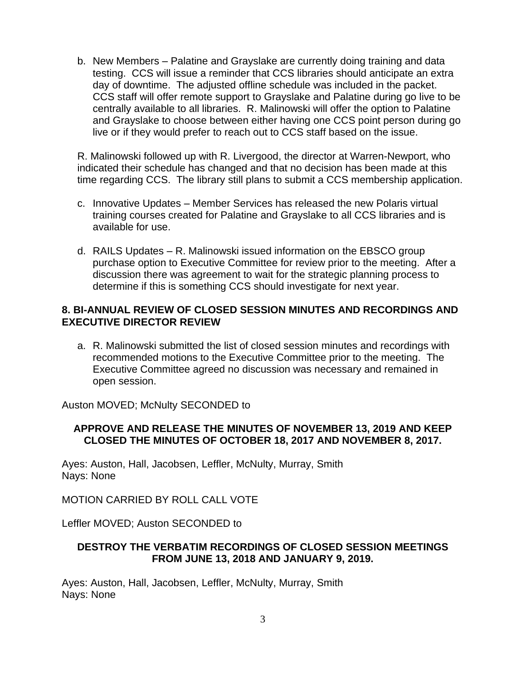b. New Members – Palatine and Grayslake are currently doing training and data testing. CCS will issue a reminder that CCS libraries should anticipate an extra day of downtime. The adjusted offline schedule was included in the packet. CCS staff will offer remote support to Grayslake and Palatine during go live to be centrally available to all libraries. R. Malinowski will offer the option to Palatine and Grayslake to choose between either having one CCS point person during go live or if they would prefer to reach out to CCS staff based on the issue.

R. Malinowski followed up with R. Livergood, the director at Warren-Newport, who indicated their schedule has changed and that no decision has been made at this time regarding CCS. The library still plans to submit a CCS membership application.

- c. Innovative Updates Member Services has released the new Polaris virtual training courses created for Palatine and Grayslake to all CCS libraries and is available for use.
- d. RAILS Updates R. Malinowski issued information on the EBSCO group purchase option to Executive Committee for review prior to the meeting. After a discussion there was agreement to wait for the strategic planning process to determine if this is something CCS should investigate for next year.

## **8. BI-ANNUAL REVIEW OF CLOSED SESSION MINUTES AND RECORDINGS AND EXECUTIVE DIRECTOR REVIEW**

a. R. Malinowski submitted the list of closed session minutes and recordings with recommended motions to the Executive Committee prior to the meeting. The Executive Committee agreed no discussion was necessary and remained in open session.

Auston MOVED; McNulty SECONDED to

## **APPROVE AND RELEASE THE MINUTES OF NOVEMBER 13, 2019 AND KEEP CLOSED THE MINUTES OF OCTOBER 18, 2017 AND NOVEMBER 8, 2017.**

Ayes: Auston, Hall, Jacobsen, Leffler, McNulty, Murray, Smith Nays: None

MOTION CARRIED BY ROLL CALL VOTE

Leffler MOVED; Auston SECONDED to

## **DESTROY THE VERBATIM RECORDINGS OF CLOSED SESSION MEETINGS FROM JUNE 13, 2018 AND JANUARY 9, 2019.**

Ayes: Auston, Hall, Jacobsen, Leffler, McNulty, Murray, Smith Nays: None